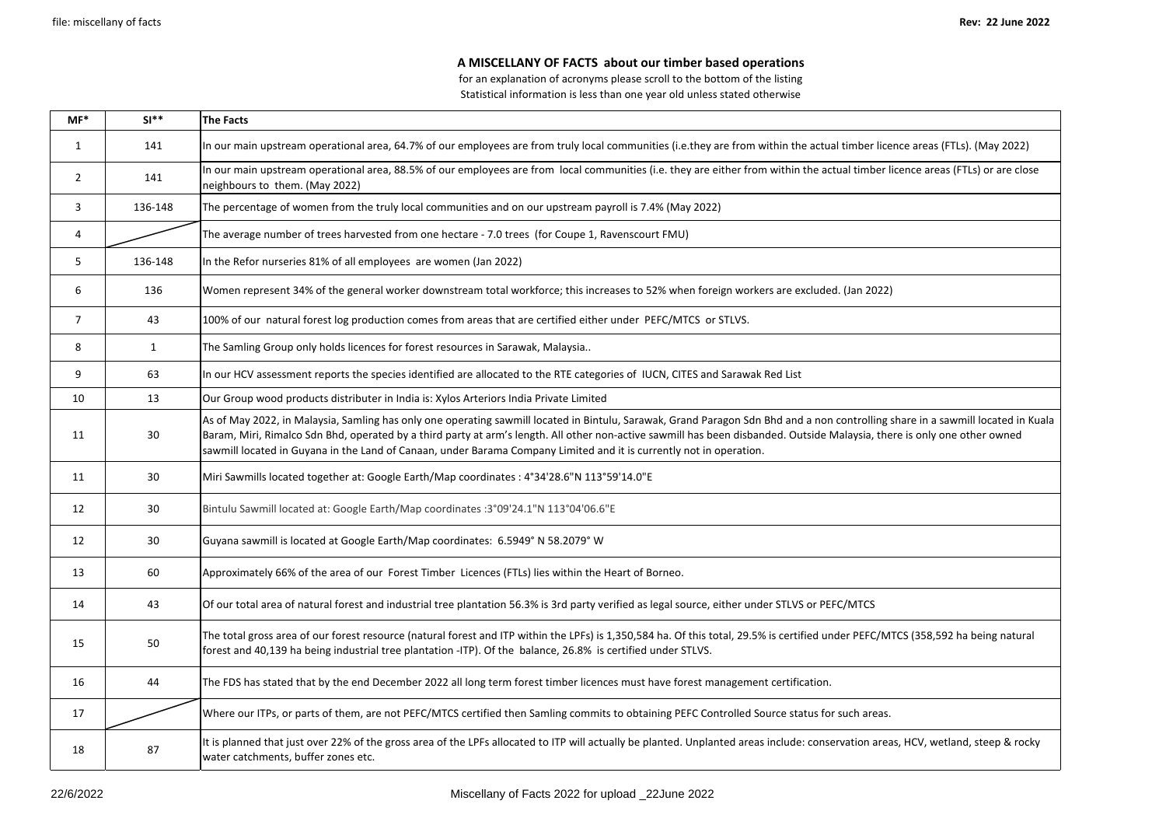## **A MISCELLANY OF FACTS about our timber based operations**

for an explanation of acronyms please scroll to the bottom of the listing Statistical information is less than one year old unless stated otherwise

| $MF*$          | $SI**$       | <b>The Facts</b>                                                                                                                                                                                                                                                                                                                                                                                                                                                                     |
|----------------|--------------|--------------------------------------------------------------------------------------------------------------------------------------------------------------------------------------------------------------------------------------------------------------------------------------------------------------------------------------------------------------------------------------------------------------------------------------------------------------------------------------|
| $\mathbf{1}$   | 141          | In our main upstream operational area, 64.7% of our employees are from truly local communities (i.e.they are from within the actual timber licence areas (FTLs). (May 2022)                                                                                                                                                                                                                                                                                                          |
| $\overline{2}$ | 141          | In our main upstream operational area, 88.5% of our employees are from local communities (i.e. they are either from within the actual timber licence areas (FTLs) or are close<br>neighbours to them. (May 2022)                                                                                                                                                                                                                                                                     |
| 3              | 136-148      | The percentage of women from the truly local communities and on our upstream payroll is 7.4% (May 2022)                                                                                                                                                                                                                                                                                                                                                                              |
| 4              |              | The average number of trees harvested from one hectare - 7.0 trees (for Coupe 1, Ravenscourt FMU)                                                                                                                                                                                                                                                                                                                                                                                    |
| 5.             | 136-148      | In the Refor nurseries 81% of all employees are women (Jan 2022)                                                                                                                                                                                                                                                                                                                                                                                                                     |
| 6              | 136          | Women represent 34% of the general worker downstream total workforce; this increases to 52% when foreign workers are excluded. (Jan 2022)                                                                                                                                                                                                                                                                                                                                            |
| 7              | 43           | 100% of our natural forest log production comes from areas that are certified either under PEFC/MTCS or STLVS.                                                                                                                                                                                                                                                                                                                                                                       |
| 8              | $\mathbf{1}$ | The Samling Group only holds licences for forest resources in Sarawak, Malaysia                                                                                                                                                                                                                                                                                                                                                                                                      |
| 9              | 63           | In our HCV assessment reports the species identified are allocated to the RTE categories of IUCN, CITES and Sarawak Red List                                                                                                                                                                                                                                                                                                                                                         |
| 10             | 13           | Our Group wood products distributer in India is: Xylos Arteriors India Private Limited                                                                                                                                                                                                                                                                                                                                                                                               |
| 11             | 30           | As of May 2022, in Malaysia, Samling has only one operating sawmill located in Bintulu, Sarawak, Grand Paragon Sdn Bhd and a non controlling share in a sawmill located in Kuala<br>Baram, Miri, Rimalco Sdn Bhd, operated by a third party at arm's length. All other non-active sawmill has been disbanded. Outside Malaysia, there is only one other owned<br>sawmill located in Guyana in the Land of Canaan, under Barama Company Limited and it is currently not in operation. |
| 11             | 30           | Miri Sawmills located together at: Google Earth/Map coordinates: 4°34'28.6"N 113°59'14.0"E                                                                                                                                                                                                                                                                                                                                                                                           |
| 12             | 30           | Bintulu Sawmill located at: Google Earth/Map coordinates :3°09'24.1"N 113°04'06.6"E                                                                                                                                                                                                                                                                                                                                                                                                  |
| 12             | 30           | Guyana sawmill is located at Google Earth/Map coordinates: 6.5949° N 58.2079° W                                                                                                                                                                                                                                                                                                                                                                                                      |
| 13             | 60           | Approximately 66% of the area of our Forest Timber Licences (FTLs) lies within the Heart of Borneo.                                                                                                                                                                                                                                                                                                                                                                                  |
| 14             | 43           | Of our total area of natural forest and industrial tree plantation 56.3% is 3rd party verified as legal source, either under STLVS or PEFC/MTCS                                                                                                                                                                                                                                                                                                                                      |
| 15             | 50           | The total gross area of our forest resource (natural forest and ITP within the LPFs) is 1,350,584 ha. Of this total, 29.5% is certified under PEFC/MTCS (358,592 ha being natural<br>forest and 40,139 ha being industrial tree plantation -ITP). Of the balance, 26.8% is certified under STLVS.                                                                                                                                                                                    |
| 16             | 44           | The FDS has stated that by the end December 2022 all long term forest timber licences must have forest management certification.                                                                                                                                                                                                                                                                                                                                                     |
| 17             |              | Where our ITPs, or parts of them, are not PEFC/MTCS certified then Samling commits to obtaining PEFC Controlled Source status for such areas.                                                                                                                                                                                                                                                                                                                                        |
| 18             | 87           | It is planned that just over 22% of the gross area of the LPFs allocated to ITP will actually be planted. Unplanted areas include: conservation areas, HCV, wetland, steep & rocky<br>water catchments, buffer zones etc.                                                                                                                                                                                                                                                            |

| cence areas (FTLs). (May 2022)                                        |
|-----------------------------------------------------------------------|
| r licence areas (FTLs) or are close                                   |
|                                                                       |
|                                                                       |
|                                                                       |
| 2)                                                                    |
|                                                                       |
|                                                                       |
|                                                                       |
|                                                                       |
| g share in a sawmill located in Kuala<br>here is only one other owned |
|                                                                       |
|                                                                       |
|                                                                       |
|                                                                       |
|                                                                       |
| MTCS (358,592 ha being natural                                        |
|                                                                       |
| ıs.                                                                   |
| eas, HCV, wetland, steep & rocky                                      |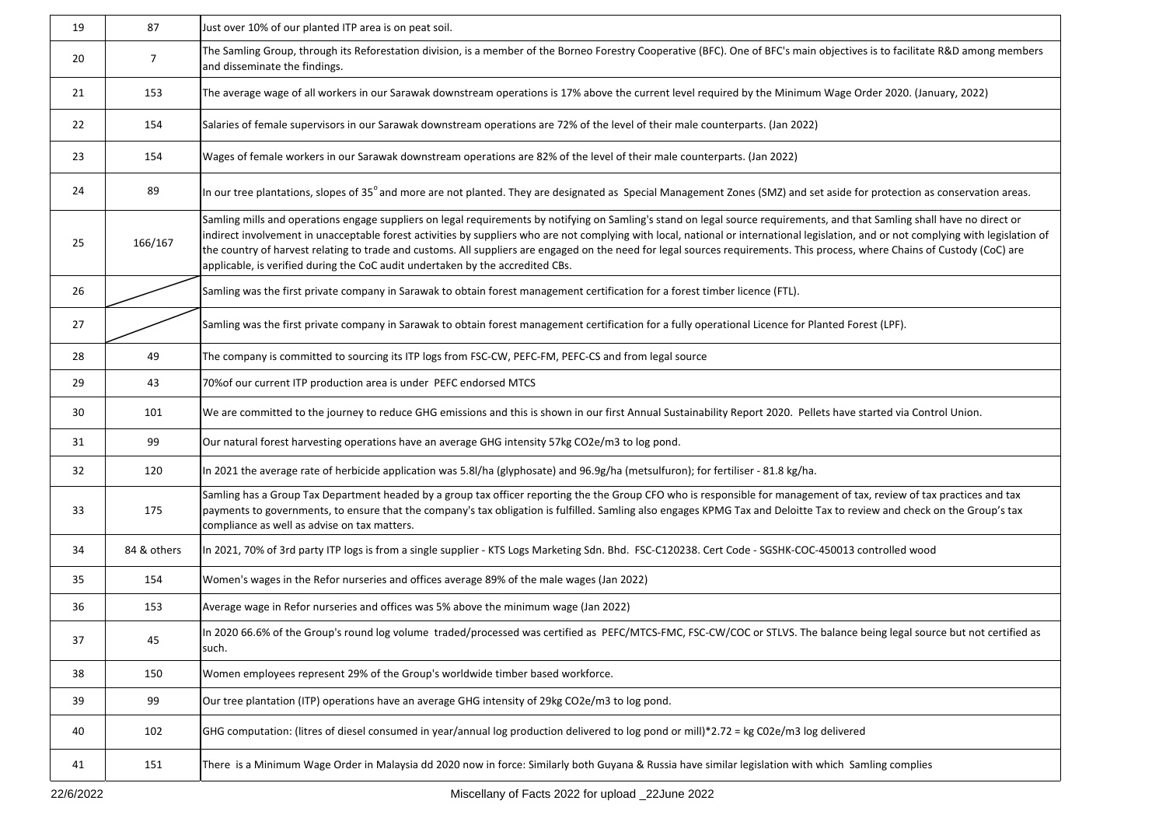| 19       | 87                                                                                                                                                                                                                                                                                                                                                                                                                                                                                                                                                                                                                                              | Just over 10% of our planted ITP area is on peat soil.                                                                                                                                                                                                                                                                                                                                             |
|----------|-------------------------------------------------------------------------------------------------------------------------------------------------------------------------------------------------------------------------------------------------------------------------------------------------------------------------------------------------------------------------------------------------------------------------------------------------------------------------------------------------------------------------------------------------------------------------------------------------------------------------------------------------|----------------------------------------------------------------------------------------------------------------------------------------------------------------------------------------------------------------------------------------------------------------------------------------------------------------------------------------------------------------------------------------------------|
| 20       | $\overline{7}$                                                                                                                                                                                                                                                                                                                                                                                                                                                                                                                                                                                                                                  | The Samling Group, through its Reforestation division, is a member of the Borneo Forestry Cooperative (BFC). One of BFC's main objectives is to facilitate R&D among members<br>and disseminate the findings.                                                                                                                                                                                      |
| 21       | 153                                                                                                                                                                                                                                                                                                                                                                                                                                                                                                                                                                                                                                             | The average wage of all workers in our Sarawak downstream operations is 17% above the current level required by the Minimum Wage Order 2020. (January, 2022)                                                                                                                                                                                                                                       |
| 22       | 154                                                                                                                                                                                                                                                                                                                                                                                                                                                                                                                                                                                                                                             | Salaries of female supervisors in our Sarawak downstream operations are 72% of the level of their male counterparts. (Jan 2022)                                                                                                                                                                                                                                                                    |
| 23       | 154                                                                                                                                                                                                                                                                                                                                                                                                                                                                                                                                                                                                                                             | Wages of female workers in our Sarawak downstream operations are 82% of the level of their male counterparts. (Jan 2022)                                                                                                                                                                                                                                                                           |
| 89<br>24 |                                                                                                                                                                                                                                                                                                                                                                                                                                                                                                                                                                                                                                                 | In our tree plantations, slopes of 35° and more are not planted. They are designated as Special Management Zones (SMZ) and set aside for protection as conservation areas.                                                                                                                                                                                                                         |
| 25       | Samling mills and operations engage suppliers on legal requirements by notifying on Samling's stand on legal source requirements, and that Samling shall have no direct or<br>Indirect involvement in unacceptable forest activities by suppliers who are not complying with local, national or international legislation, and or not complying with legislation of<br>166/167<br>the country of harvest relating to trade and customs. All suppliers are engaged on the need for legal sources requirements. This process, where Chains of Custody (CoC) are<br>applicable, is verified during the CoC audit undertaken by the accredited CBs. |                                                                                                                                                                                                                                                                                                                                                                                                    |
| 26       |                                                                                                                                                                                                                                                                                                                                                                                                                                                                                                                                                                                                                                                 | Samling was the first private company in Sarawak to obtain forest management certification for a forest timber licence (FTL).                                                                                                                                                                                                                                                                      |
| 27       |                                                                                                                                                                                                                                                                                                                                                                                                                                                                                                                                                                                                                                                 | Samling was the first private company in Sarawak to obtain forest management certification for a fully operational Licence for Planted Forest (LPF).                                                                                                                                                                                                                                               |
| 28       | 49                                                                                                                                                                                                                                                                                                                                                                                                                                                                                                                                                                                                                                              | The company is committed to sourcing its ITP logs from FSC-CW, PEFC-FM, PEFC-CS and from legal source                                                                                                                                                                                                                                                                                              |
| 29       | 43                                                                                                                                                                                                                                                                                                                                                                                                                                                                                                                                                                                                                                              | 70% of our current ITP production area is under PEFC endorsed MTCS                                                                                                                                                                                                                                                                                                                                 |
| 30       | 101                                                                                                                                                                                                                                                                                                                                                                                                                                                                                                                                                                                                                                             | We are committed to the journey to reduce GHG emissions and this is shown in our first Annual Sustainability Report 2020. Pellets have started via Control Union.                                                                                                                                                                                                                                  |
| 31       | 99                                                                                                                                                                                                                                                                                                                                                                                                                                                                                                                                                                                                                                              | Our natural forest harvesting operations have an average GHG intensity 57kg CO2e/m3 to log pond.                                                                                                                                                                                                                                                                                                   |
| 32       | 120                                                                                                                                                                                                                                                                                                                                                                                                                                                                                                                                                                                                                                             | In 2021 the average rate of herbicide application was 5.8I/ha (glyphosate) and 96.9g/ha (metsulfuron); for fertiliser - 81.8 kg/ha.                                                                                                                                                                                                                                                                |
| 33       | 175                                                                                                                                                                                                                                                                                                                                                                                                                                                                                                                                                                                                                                             | Samling has a Group Tax Department headed by a group tax officer reporting the the Group CFO who is responsible for management of tax, review of tax practices and tax<br>payments to governments, to ensure that the company's tax obligation is fulfilled. Samling also engages KPMG Tax and Deloitte Tax to review and check on the Group's tax<br>compliance as well as advise on tax matters. |
| 34       | 84 & others                                                                                                                                                                                                                                                                                                                                                                                                                                                                                                                                                                                                                                     | In 2021, 70% of 3rd party ITP logs is from a single supplier - KTS Logs Marketing Sdn. Bhd. FSC-C120238. Cert Code - SGSHK-COC-450013 controlled wood                                                                                                                                                                                                                                              |
| 35       | 154                                                                                                                                                                                                                                                                                                                                                                                                                                                                                                                                                                                                                                             | Women's wages in the Refor nurseries and offices average 89% of the male wages (Jan 2022)                                                                                                                                                                                                                                                                                                          |
| 36       | 153                                                                                                                                                                                                                                                                                                                                                                                                                                                                                                                                                                                                                                             | Average wage in Refor nurseries and offices was 5% above the minimum wage (Jan 2022)                                                                                                                                                                                                                                                                                                               |
| 37       | 45                                                                                                                                                                                                                                                                                                                                                                                                                                                                                                                                                                                                                                              | In 2020 66.6% of the Group's round log volume traded/processed was certified as PEFC/MTCS-FMC, FSC-CW/COC or STLVS. The balance being legal source but not certified as<br>such.                                                                                                                                                                                                                   |
| 38       | 150                                                                                                                                                                                                                                                                                                                                                                                                                                                                                                                                                                                                                                             | Women employees represent 29% of the Group's worldwide timber based workforce.                                                                                                                                                                                                                                                                                                                     |
| 39       | 99                                                                                                                                                                                                                                                                                                                                                                                                                                                                                                                                                                                                                                              | Our tree plantation (ITP) operations have an average GHG intensity of 29kg CO2e/m3 to log pond.                                                                                                                                                                                                                                                                                                    |
| 40       | 102                                                                                                                                                                                                                                                                                                                                                                                                                                                                                                                                                                                                                                             | GHG computation: (litres of diesel consumed in year/annual log production delivered to log pond or mill)*2.72 = kg C02e/m3 log delivered                                                                                                                                                                                                                                                           |
| 41       | 151                                                                                                                                                                                                                                                                                                                                                                                                                                                                                                                                                                                                                                             | There is a Minimum Wage Order in Malaysia dd 2020 now in force: Similarly both Guyana & Russia have similar legislation with which Samling complies                                                                                                                                                                                                                                                |

| to facilitate R&D among members                                                                         |
|---------------------------------------------------------------------------------------------------------|
| 2020. (January, 2022)                                                                                   |
|                                                                                                         |
|                                                                                                         |
| otection as conservation areas.                                                                         |
| amling shall have no direct or<br>or not complying with legislation of<br>e Chains of Custody (CoC) are |
|                                                                                                         |
| (LPF).                                                                                                  |
|                                                                                                         |
|                                                                                                         |
| ed via Control Union.                                                                                   |
|                                                                                                         |
|                                                                                                         |
| eview of tax practices and tax<br>and check on the Group's tax                                          |
| olled wood                                                                                              |
|                                                                                                         |
|                                                                                                         |
| g legal source but not certified as                                                                     |
|                                                                                                         |
|                                                                                                         |
| g complies                                                                                              |
|                                                                                                         |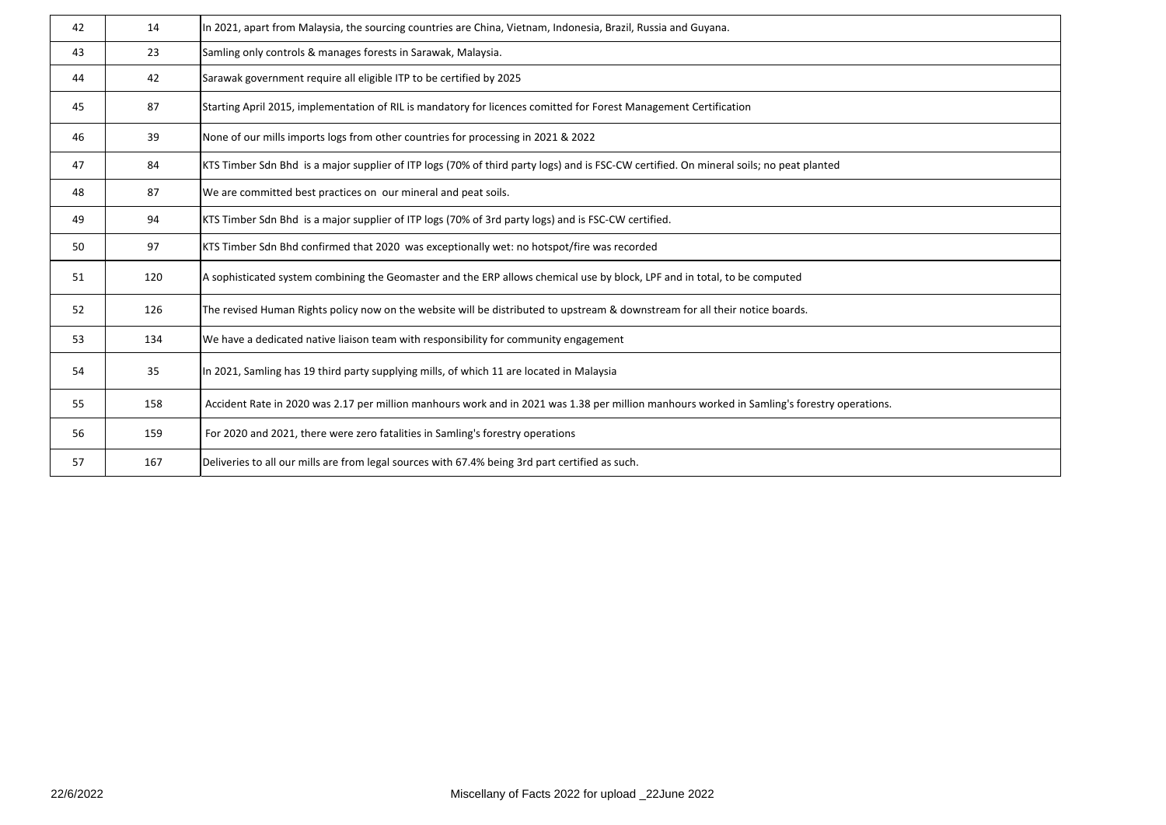| 42 | 14  | In 2021, apart from Malaysia, the sourcing countries are China, Vietnam, Indonesia, Brazil, Russia and Guyana.                              |
|----|-----|---------------------------------------------------------------------------------------------------------------------------------------------|
| 43 | 23  | Samling only controls & manages forests in Sarawak, Malaysia.                                                                               |
| 44 | 42  | Sarawak government require all eligible ITP to be certified by 2025                                                                         |
| 45 | 87  | Starting April 2015, implementation of RIL is mandatory for licences comitted for Forest Management Certification                           |
| 46 | 39  | None of our mills imports logs from other countries for processing in 2021 & 2022                                                           |
| 47 | 84  | KTS Timber Sdn Bhd is a major supplier of ITP logs (70% of third party logs) and is FSC-CW certified. On mineral soils; no peat planted     |
| 48 | 87  | We are committed best practices on our mineral and peat soils.                                                                              |
| 49 | 94  | KTS Timber Sdn Bhd is a major supplier of ITP logs (70% of 3rd party logs) and is FSC-CW certified.                                         |
| 50 | 97  | KTS Timber Sdn Bhd confirmed that 2020 was exceptionally wet: no hotspot/fire was recorded                                                  |
| 51 | 120 | A sophisticated system combining the Geomaster and the ERP allows chemical use by block, LPF and in total, to be computed                   |
| 52 | 126 | The revised Human Rights policy now on the website will be distributed to upstream & downstream for all their notice boards.                |
| 53 | 134 | We have a dedicated native liaison team with responsibility for community engagement                                                        |
| 54 | 35  | In 2021, Samling has 19 third party supplying mills, of which 11 are located in Malaysia                                                    |
| 55 | 158 | Accident Rate in 2020 was 2.17 per million manhours work and in 2021 was 1.38 per million manhours worked in Samling's forestry operations. |
| 56 | 159 | For 2020 and 2021, there were zero fatalities in Samling's forestry operations                                                              |
| 57 | 167 | Deliveries to all our mills are from legal sources with 67.4% being 3rd part certified as such.                                             |
|    |     |                                                                                                                                             |

| ns. |  |  |
|-----|--|--|
|     |  |  |
|     |  |  |
|     |  |  |